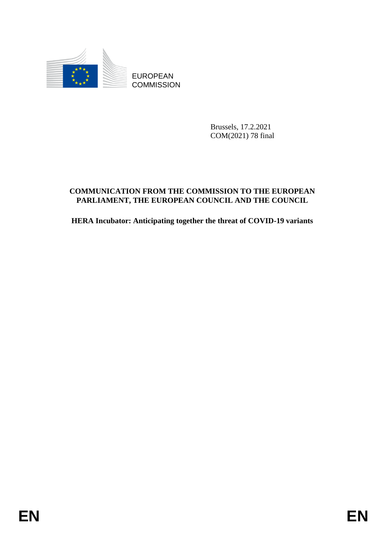

Brussels, 17.2.2021 COM(2021) 78 final

# EUROPEAN<br>
EUROPEAN<br>
ENGANGEREN<br>
COMMISSION<br>
Brivels, 17.2.2021<br>
COMMISSION<br>
ENGANGEREN<br>
COMMISSION<br>
FREEL MENT, THE RUBOPEAN COUNCIL, AND THE COUNCIL<br>
ILERA Incubator: Anticipating together the threat of COVID-19 variants<br> **COMMUNICATION FROM THE COMMISSION TO THE EUROPEAN PARLIAMENT, THE EUROPEAN COUNCIL AND THE COUNCIL**

**HERA Incubator: Anticipating together the threat of COVID-19 variants**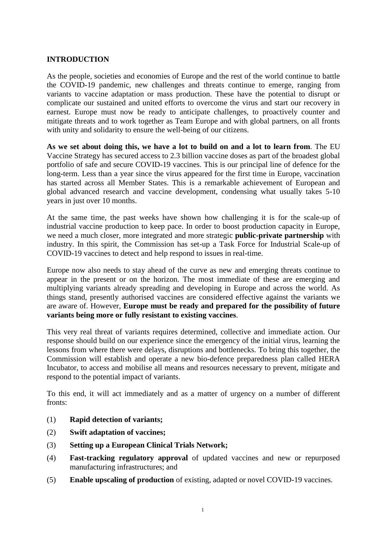### **INTRODUCTION**

As the people, societies and economies of Europe and the rest of the world continue to battle the COVID-19 pandemic, new challenges and threats continue to emerge, ranging from variants to vaccine adaptation or mass production. These have the potential to disrupt or complicate our sustained and united efforts to overcome the virus and start our recovery in earnest. Europe must now be ready to anticipate challenges, to proactively counter and mitigate threats and to work together as Team Europe and with global partners, on all fronts with unity and solidarity to ensure the well-being of our citizens.

**As we set about doing this, we have a lot to build on and a lot to learn from**. The EU Vaccine Strategy has secured access to 2.3 billion vaccine doses as part of the broadest global portfolio of safe and secure COVID-19 vaccines. This is our principal line of defence for the long-term. Less than a year since the virus appeared for the first time in Europe, vaccination has started across all Member States. This is a remarkable achievement of European and global advanced research and vaccine development, condensing what usually takes 5-10 years in just over 10 months.

At the same time, the past weeks have shown how challenging it is for the scale-up of industrial vaccine production to keep pace. In order to boost production capacity in Europe, we need a much closer, more integrated and more strategic **public-private partnership** with industry. In this spirit, the Commission has set-up a Task Force for Industrial Scale-up of COVID-19 vaccines to detect and help respond to issues in real-time.

Europe now also needs to stay ahead of the curve as new and emerging threats continue to appear in the present or on the horizon. The most immediate of these are emerging and multiplying variants already spreading and developing in Europe and across the world. As things stand, presently authorised vaccines are considered effective against the variants we are aware of. However, **Europe must be ready and prepared for the possibility of future variants being more or fully resistant to existing vaccines**.

This very real threat of variants requires determined, collective and immediate action. Our response should build on our experience since the emergency of the initial virus, learning the lessons from where there were delays, disruptions and bottlenecks. To bring this together, the Commission will establish and operate a new bio-defence preparedness plan called HERA Incubator, to access and mobilise all means and resources necessary to prevent, mitigate and respond to the potential impact of variants.

To this end, it will act immediately and as a matter of urgency on a number of different fronts:

- (1) **Rapid detection of variants;**
- (2) **Swift adaptation of vaccines;**
- (3) **Setting up a European Clinical Trials Network;**
- (4) **Fast-tracking regulatory approval** of updated vaccines and new or repurposed manufacturing infrastructures; and
- (5) **Enable upscaling of production** of existing, adapted or novel COVID-19 vaccines.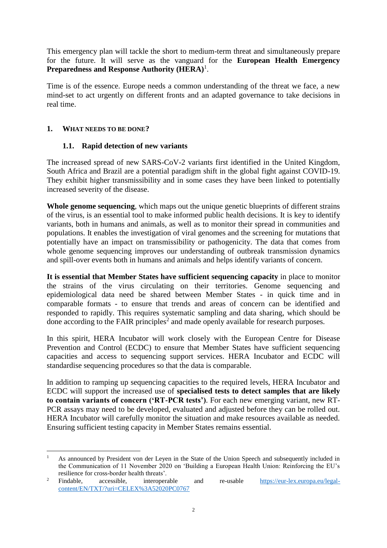This emergency plan will tackle the short to medium-term threat and simultaneously prepare for the future. It will serve as the vanguard for the **European Health Emergency**  Preparedness and Response Authority (HERA)<sup>1</sup>.

Time is of the essence. Europe needs a common understanding of the threat we face, a new mind-set to act urgently on different fronts and an adapted governance to take decisions in real time.

### **1. WHAT NEEDS TO BE DONE?**

1

### **1.1. Rapid detection of new variants**

The increased spread of new SARS-CoV-2 variants first identified in the United Kingdom, South Africa and Brazil are a potential paradigm shift in the global fight against COVID-19. They exhibit higher transmissibility and in some cases they have been linked to potentially increased severity of the disease.

**Whole genome sequencing**, which maps out the unique genetic blueprints of different strains of the virus, is an essential tool to make informed public health decisions. It is key to identify variants, both in humans and animals, as well as to monitor their spread in communities and populations. It enables the investigation of viral genomes and the screening for mutations that potentially have an impact on transmissibility or pathogenicity. The data that comes from whole genome sequencing improves our understanding of outbreak transmission dynamics and spill-over events both in humans and animals and helps identify variants of concern.

**It is essential that Member States have sufficient sequencing capacity** in place to monitor the strains of the virus circulating on their territories. Genome sequencing and epidemiological data need be shared between Member States - in quick time and in comparable formats - to ensure that trends and areas of concern can be identified and responded to rapidly. This requires systematic sampling and data sharing, which should be done according to the FAIR principles<sup>2</sup> and made openly available for research purposes.

In this spirit, HERA Incubator will work closely with the European Centre for Disease Prevention and Control (ECDC) to ensure that Member States have sufficient sequencing capacities and access to sequencing support services. HERA Incubator and ECDC will standardise sequencing procedures so that the data is comparable.

In addition to ramping up sequencing capacities to the required levels, HERA Incubator and ECDC will support the increased use of **specialised tests to detect samples that are likely to contain variants of concern ('RT-PCR tests')**. For each new emerging variant, new RT-PCR assays may need to be developed, evaluated and adjusted before they can be rolled out. HERA Incubator will carefully monitor the situation and make resources available as needed. Ensuring sufficient testing capacity in Member States remains essential.

<sup>1</sup> As announced by President von der Leyen in the State of the Union Speech and subsequently included in the Communication of 11 November 2020 on 'Building a European Health Union: Reinforcing the EU's resilience for cross-border health threats'.

<sup>&</sup>lt;sup>2</sup> Findable, accessible, interoperable and re-usable [https://eur-lex.europa.eu/legal](https://eur-lex.europa.eu/legal-content/EN/TXT/?uri=CELEX%3A52020PC0767)[content/EN/TXT/?uri=CELEX%3A52020PC0767](https://eur-lex.europa.eu/legal-content/EN/TXT/?uri=CELEX%3A52020PC0767)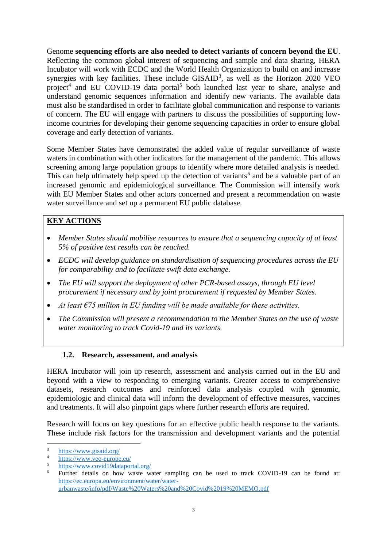Genome **sequencing efforts are also needed to detect variants of concern beyond the EU**. Reflecting the common global interest of sequencing and sample and data sharing, HERA Incubator will work with ECDC and the World Health Organization to build on and increase synergies with key facilities. These include  $\text{GISAID}^3$ , as well as the Horizon 2020 VEO project<sup>4</sup> and EU COVID-19 data portal<sup>5</sup> both launched last year to share, analyse and understand genomic sequences information and identify new variants. The available data must also be standardised in order to facilitate global communication and response to variants of concern. The EU will engage with partners to discuss the possibilities of supporting lowincome countries for developing their genome sequencing capacities in order to ensure global coverage and early detection of variants.

Some Member States have demonstrated the added value of regular surveillance of waste waters in combination with other indicators for the management of the pandemic. This allows screening among large population groups to identify where more detailed analysis is needed. This can help ultimately help speed up the detection of variants<sup>6</sup> and be a valuable part of an increased genomic and epidemiological surveillance. The Commission will intensify work with EU Member States and other actors concerned and present a recommendation on waste water surveillance and set up a permanent EU public database.

# **KEY ACTIONS**

- *Member States should mobilise resources to ensure that a sequencing capacity of at least 5% of positive test results can be reached.*
- *ECDC will develop guidance on standardisation of sequencing procedures across the EU for comparability and to facilitate swift data exchange.*
- *The EU will support the deployment of other PCR-based assays, through EU level procurement if necessary and by joint procurement if requested by Member States.*
- *At least €75 million in EU funding will be made available for these activities.*
- *The Commission will present a recommendation to the Member States on the use of waste water monitoring to track Covid-19 and its variants.*

### **1.2. Research, assessment, and analysis**

HERA Incubator will join up research, assessment and analysis carried out in the EU and beyond with a view to responding to emerging variants. Greater access to comprehensive datasets, research outcomes and reinforced data analysis coupled with genomic, epidemiologic and clinical data will inform the development of effective measures, vaccines and treatments. It will also pinpoint gaps where further research efforts are required.

Research will focus on key questions for an effective public health response to the variants. These include risk factors for the transmission and development variants and the potential

1

 $\frac{3}{4}$  <https://www.gisaid.org/>

 $\frac{4}{5}$  <https://www.veo-europe.eu/>

<sup>5</sup> <https://www.covid19dataportal.org/>

Further details on how waste water sampling can be used to track COVID-19 can be found at: [https://ec.europa.eu/environment/water/water](https://ec.europa.eu/environment/water/water-urbanwaste/info/pdf/Waste%20Waters%20and%20Covid%2019%20MEMO.pdf)[urbanwaste/info/pdf/Waste%20Waters%20and%20Covid%2019%20MEMO.pdf](https://ec.europa.eu/environment/water/water-urbanwaste/info/pdf/Waste%20Waters%20and%20Covid%2019%20MEMO.pdf)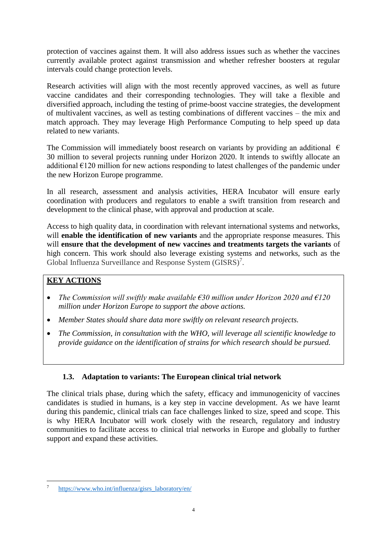protection of vaccines against them. It will also address issues such as whether the vaccines currently available protect against transmission and whether refresher boosters at regular intervals could change protection levels.

Research activities will align with the most recently approved vaccines, as well as future vaccine candidates and their corresponding technologies. They will take a flexible and diversified approach, including the testing of prime-boost vaccine strategies, the development of multivalent vaccines, as well as testing combinations of different vaccines – the mix and match approach. They may leverage High Performance Computing to help speed up data related to new variants.

The Commission will immediately boost research on variants by providing an additional  $\epsilon$ 30 million to several projects running under Horizon 2020. It intends to swiftly allocate an additional  $E120$  million for new actions responding to latest challenges of the pandemic under the new Horizon Europe programme.

In all research, assessment and analysis activities, HERA Incubator will ensure early coordination with producers and regulators to enable a swift transition from research and development to the clinical phase, with approval and production at scale.

Access to high quality data, in coordination with relevant international systems and networks, will **enable the identification of new variants** and the appropriate response measures. This will **ensure that the development of new vaccines and treatments targets the variants** of high concern. This work should also leverage existing systems and networks, such as the Global Influenza Surveillance and Response System (GISRS)<sup>7</sup>.

# **KEY ACTIONS**

- *The Commission will swiftly make available €30 million under Horizon 2020 and €120 million under Horizon Europe to support the above actions.*
- *Member States should share data more swiftly on relevant research projects.*
- *The Commission, in consultation with the WHO, will leverage all scientific knowledge to provide guidance on the identification of strains for which research should be pursued.*

# **1.3. Adaptation to variants: The European clinical trial network**

The clinical trials phase, during which the safety, efficacy and immunogenicity of vaccines candidates is studied in humans, is a key step in vaccine development. As we have learnt during this pandemic, clinical trials can face challenges linked to size, speed and scope. This is why HERA Incubator will work closely with the research, regulatory and industry communities to facilitate access to clinical trial networks in Europe and globally to further support and expand these activities.

<sup>&</sup>lt;u>.</u> <sup>7</sup> [https://www.who.int/influenza/gisrs\\_laboratory/en/](https://www.who.int/influenza/gisrs_laboratory/en/)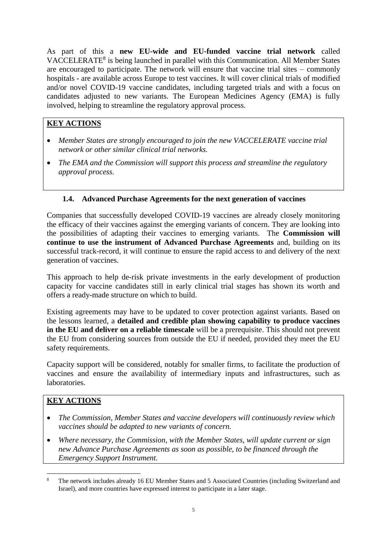As part of this a **new EU-wide and EU-funded vaccine trial network** called VACCELERATE<sup>8</sup> is being launched in parallel with this Communication. All Member States are encouraged to participate. The network will ensure that vaccine trial sites – commonly hospitals - are available across Europe to test vaccines. It will cover clinical trials of modified and/or novel COVID-19 vaccine candidates, including targeted trials and with a focus on candidates adjusted to new variants. The European Medicines Agency (EMA) is fully involved, helping to streamline the regulatory approval process.

# **KEY ACTIONS**

- *Member States are strongly encouraged to join the new VACCELERATE vaccine trial network or other similar clinical trial networks.*
- *The EMA and the Commission will support this process and streamline the regulatory approval process.*

# **1.4. Advanced Purchase Agreements for the next generation of vaccines**

Companies that successfully developed COVID-19 vaccines are already closely monitoring the efficacy of their vaccines against the emerging variants of concern. They are looking into the possibilities of adapting their vaccines to emerging variants. The **Commission will continue to use the instrument of Advanced Purchase Agreements** and, building on its successful track-record, it will continue to ensure the rapid access to and delivery of the next generation of vaccines.

This approach to help de-risk private investments in the early development of production capacity for vaccine candidates still in early clinical trial stages has shown its worth and offers a ready-made structure on which to build.

Existing agreements may have to be updated to cover protection against variants. Based on the lessons learned, a **detailed and credible plan showing capability to produce vaccines in the EU and deliver on a reliable timescale** will be a prerequisite. This should not prevent the EU from considering sources from outside the EU if needed, provided they meet the EU safety requirements.

Capacity support will be considered, notably for smaller firms, to facilitate the production of vaccines and ensure the availability of intermediary inputs and infrastructures, such as laboratories.

# **KEY ACTIONS**

- *The Commission, Member States and vaccine developers will continuously review which vaccines should be adapted to new variants of concern.*
- *Where necessary, the Commission, with the Member States, will update current or sign new Advance Purchase Agreements as soon as possible, to be financed through the Emergency Support Instrument.*

<sup>1</sup> <sup>8</sup> The network includes already 16 EU Member States and 5 Associated Countries (including Switzerland and Israel), and more countries have expressed interest to participate in a later stage.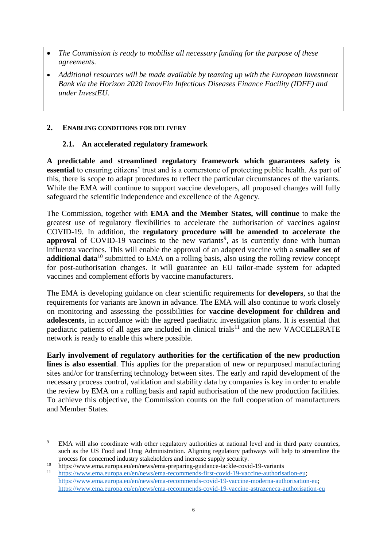- *The Commission is ready to mobilise all necessary funding for the purpose of these agreements.*
- *Additional resources will be made available by teaming up with the European Investment Bank via the Horizon 2020 InnovFin Infectious Diseases Finance Facility (IDFF) and under InvestEU.*

### **2. ENABLING CONDITIONS FOR DELIVERY**

### **2.1. An accelerated regulatory framework**

**A predictable and streamlined regulatory framework which guarantees safety is essential** to ensuring citizens' trust and is a cornerstone of protecting public health. As part of this, there is scope to adapt procedures to reflect the particular circumstances of the variants. While the EMA will continue to support vaccine developers, all proposed changes will fully safeguard the scientific independence and excellence of the Agency.

The Commission, together with **EMA and the Member States, will continue** to make the greatest use of regulatory flexibilities to accelerate the authorisation of vaccines against COVID-19. In addition, the **regulatory procedure will be amended to accelerate the**  approval of COVID-19 vaccines to the new variants<sup>9</sup>, as is currently done with human influenza vaccines. This will enable the approval of an adapted vaccine with a **smaller set of additional data**<sup>10</sup> submitted to EMA on a rolling basis, also using the rolling review concept for post-authorisation changes. It will guarantee an EU tailor-made system for adapted vaccines and complement efforts by vaccine manufacturers.

The EMA is developing guidance on clear scientific requirements for **developers**, so that the requirements for variants are known in advance. The EMA will also continue to work closely on monitoring and assessing the possibilities for **vaccine development for children and adolescents**, in accordance with the agreed paediatric investigation plans. It is essential that paediatric patients of all ages are included in clinical trials<sup>11</sup> and the new VACCELERATE network is ready to enable this where possible.

**Early involvement of regulatory authorities for the certification of the new production** lines is also essential. This applies for the preparation of new or repurposed manufacturing sites and/or for transferring technology between sites. The early and rapid development of the necessary process control, validation and stability data by companies is key in order to enable the review by EMA on a rolling basis and rapid authorisation of the new production facilities. To achieve this objective, the Commission counts on the full cooperation of manufacturers and Member States.

<sup>&</sup>lt;u>.</u> <sup>9</sup> EMA will also coordinate with other regulatory authorities at national level and in third party countries, such as the US Food and Drug Administration. Aligning regulatory pathways will help to streamline the process for concerned industry stakeholders and increase supply security.

<sup>10</sup> https://www.ema.europa.eu/en/news/ema-preparing-guidance-tackle-covid-19-variants

<sup>11</sup> [https://www.ema.europa.eu/en/news/ema-recommends-first-covid-19-vaccine-authorisation-eu;](https://www.ema.europa.eu/en/news/ema-recommends-first-covid-19-vaccine-authorisation-eu) [https://www.ema.europa.eu/en/news/ema-recommends-covid-19-vaccine-moderna-authorisation-eu;](https://www.ema.europa.eu/en/news/ema-recommends-covid-19-vaccine-moderna-authorisation-eu) <https://www.ema.europa.eu/en/news/ema-recommends-covid-19-vaccine-astrazeneca-authorisation-eu>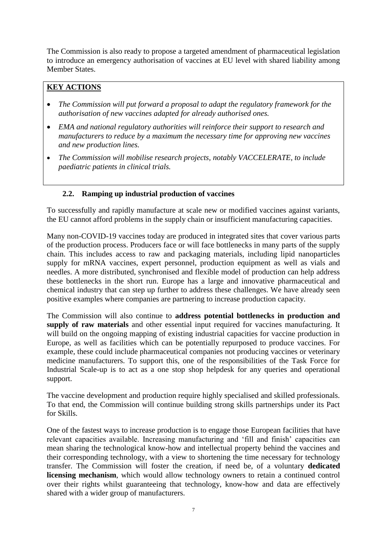The Commission is also ready to propose a targeted amendment of pharmaceutical legislation to introduce an emergency authorisation of vaccines at EU level with shared liability among Member States.

# **KEY ACTIONS**

- *The Commission will put forward a proposal to adapt the regulatory framework for the authorisation of new vaccines adapted for already authorised ones.*
- *EMA and national regulatory authorities will reinforce their support to research and manufacturers to reduce by a maximum the necessary time for approving new vaccines and new production lines.*
- *The Commission will mobilise research projects, notably VACCELERATE, to include paediatric patients in clinical trials.*

## **2.2. Ramping up industrial production of vaccines**

To successfully and rapidly manufacture at scale new or modified vaccines against variants, the EU cannot afford problems in the supply chain or insufficient manufacturing capacities.

Many non-COVID-19 vaccines today are produced in integrated sites that cover various parts of the production process. Producers face or will face bottlenecks in many parts of the supply chain. This includes access to raw and packaging materials, including lipid nanoparticles supply for mRNA vaccines, expert personnel, production equipment as well as vials and needles. A more distributed, synchronised and flexible model of production can help address these bottlenecks in the short run. Europe has a large and innovative pharmaceutical and chemical industry that can step up further to address these challenges. We have already seen positive examples where companies are partnering to increase production capacity.

The Commission will also continue to **address potential bottlenecks in production and supply of raw materials** and other essential input required for vaccines manufacturing. It will build on the ongoing mapping of existing industrial capacities for vaccine production in Europe, as well as facilities which can be potentially repurposed to produce vaccines. For example, these could include pharmaceutical companies not producing vaccines or veterinary medicine manufacturers. To support this, one of the responsibilities of the Task Force for Industrial Scale-up is to act as a one stop shop helpdesk for any queries and operational support.

The vaccine development and production require highly specialised and skilled professionals. To that end, the Commission will continue building strong skills partnerships under its Pact for Skills.

One of the fastest ways to increase production is to engage those European facilities that have relevant capacities available. Increasing manufacturing and 'fill and finish' capacities can mean sharing the technological know-how and intellectual property behind the vaccines and their corresponding technology, with a view to shortening the time necessary for technology transfer. The Commission will foster the creation, if need be, of a voluntary **dedicated licensing mechanism**, which would allow technology owners to retain a continued control over their rights whilst guaranteeing that technology, know-how and data are effectively shared with a wider group of manufacturers.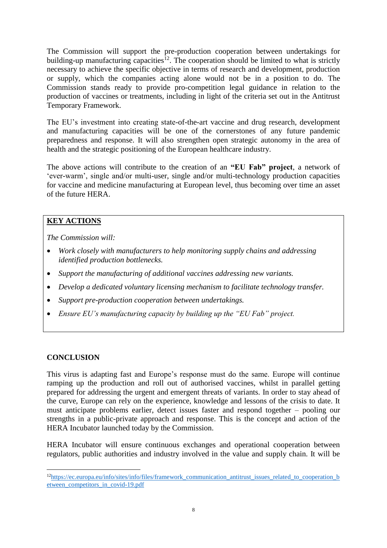The Commission will support the pre-production cooperation between undertakings for building-up manufacturing capacities<sup>12</sup>. The cooperation should be limited to what is strictly necessary to achieve the specific objective in terms of research and development, production or supply, which the companies acting alone would not be in a position to do. The Commission stands ready to provide pro-competition legal guidance in relation to the production of vaccines or treatments, including in light of the criteria set out in the Antitrust Temporary Framework.

The EU's investment into creating state-of-the-art vaccine and drug research, development and manufacturing capacities will be one of the cornerstones of any future pandemic preparedness and response. It will also strengthen open strategic autonomy in the area of health and the strategic positioning of the European healthcare industry.

The above actions will contribute to the creation of an **"EU Fab" project**, a network of 'ever-warm', single and/or multi-user, single and/or multi-technology production capacities for vaccine and medicine manufacturing at European level, thus becoming over time an asset of the future HERA.

## **KEY ACTIONS**

*The Commission will:*

- *Work closely with manufacturers to help monitoring supply chains and addressing identified production bottlenecks.*
- *Support the manufacturing of additional vaccines addressing new variants.*
- *Develop a dedicated voluntary licensing mechanism to facilitate technology transfer.*
- *Support pre-production cooperation between undertakings.*
- *Ensure EU's manufacturing capacity by building up the "EU Fab" project.*

### **CONCLUSION**

1

This virus is adapting fast and Europe's response must do the same. Europe will continue ramping up the production and roll out of authorised vaccines, whilst in parallel getting prepared for addressing the urgent and emergent threats of variants. In order to stay ahead of the curve, Europe can rely on the experience, knowledge and lessons of the crisis to date. It must anticipate problems earlier, detect issues faster and respond together – pooling our strengths in a public-private approach and response. This is the concept and action of the HERA Incubator launched today by the Commission.

HERA Incubator will ensure continuous exchanges and operational cooperation between regulators, public authorities and industry involved in the value and supply chain. It will be

 $12$ [https://ec.europa.eu/info/sites/info/files/framework\\_communication\\_antitrust\\_issues\\_related\\_to\\_cooperation\\_b](https://ec.europa.eu/info/sites/info/files/framework_communication_antitrust_issues_related_to_cooperation_between_competitors_in_covid-19.pdf) [etween\\_competitors\\_in\\_covid-19.pdf](https://ec.europa.eu/info/sites/info/files/framework_communication_antitrust_issues_related_to_cooperation_between_competitors_in_covid-19.pdf)